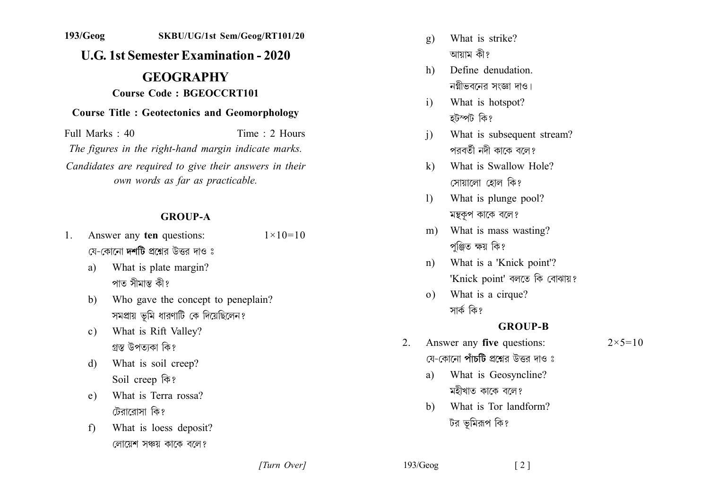# $193/Geog$ SKBU/UG/1st Sem/Geog/RT101/20 **U.G. 1st Semester Examination - 2020 GEOGRAPHY Course Code: BGEOCCRT101 Course Title: Geotectonics and Geomorphology**

Full Marks  $\cdot$  40 Time  $\cdot$  2 Hours The figures in the right-hand margin indicate marks. Candidates are required to give their answers in their own words as far as practicable.

#### **GROUP-A**

- Answer any ten questions:  $1 \times 10 = 10$  $1$ যে-কোনো **দশটি** প্রশ্নের উত্তর দাও ঃ
	- What is plate margin?  $a)$ পাত সীমান্ত কী?
	- Who gave the concept to peneplain?  $b)$ সমপ্রায় ভূমি ধারণাটি কে দিয়েছিলেন?
	- What is Rift Valley?  $c)$ গ্রস্ত উপত্যকা কি?
	- What is soil creep?  $\mathbf{d}$ Soil creep कि?
	- What is Terra rossa?  $e)$ টেরারোসা কি?
	- $f$ What is loess deposit? লোয়েশ সঞ্চয় কাকে বলে?
- What is strike?  $\mathbf{g}$ ) আয়াম কী?
- Define denudation  $h$ ) নগ্নীভবনের সংজ্ঞা দাও।
- What is hotspot?  $i)$ হটস্পট কি?
- What is subsequent stream?  $\overline{1}$ পরবর্তী নদী কাকে বলে?
- What is Swallow Hole?  $\mathbf{k}$ সোয়ালো হোল কি?
- What is plunge pool?  $\mathbf{D}$ মন্থকুপ কাকে বলে?
- What is mass wasting? m) পঞ্জিত ক্ষয় কি?
- What is a 'Knick point'?  $n$ ) 'Knick point' বলতে কি বোঝায়?
- What is a cirque?  $(0)$ সাৰ্ক কি?

## **GROUP-B**

 $\lceil 2 \rceil$ 

- Answer any five questions:  $2<sub>1</sub>$ যে-কোনো **পাঁচটি** প্ৰশ্নেব উত্তৰ দাও ঃ
	- What is Geosyncline? a) মহীখাত কাকে বলে?
	- What is Tor landform?  $h$ টর ভূমিরূপ কি?

 $193/Geog$ 

 $2 \times 5 = 10$